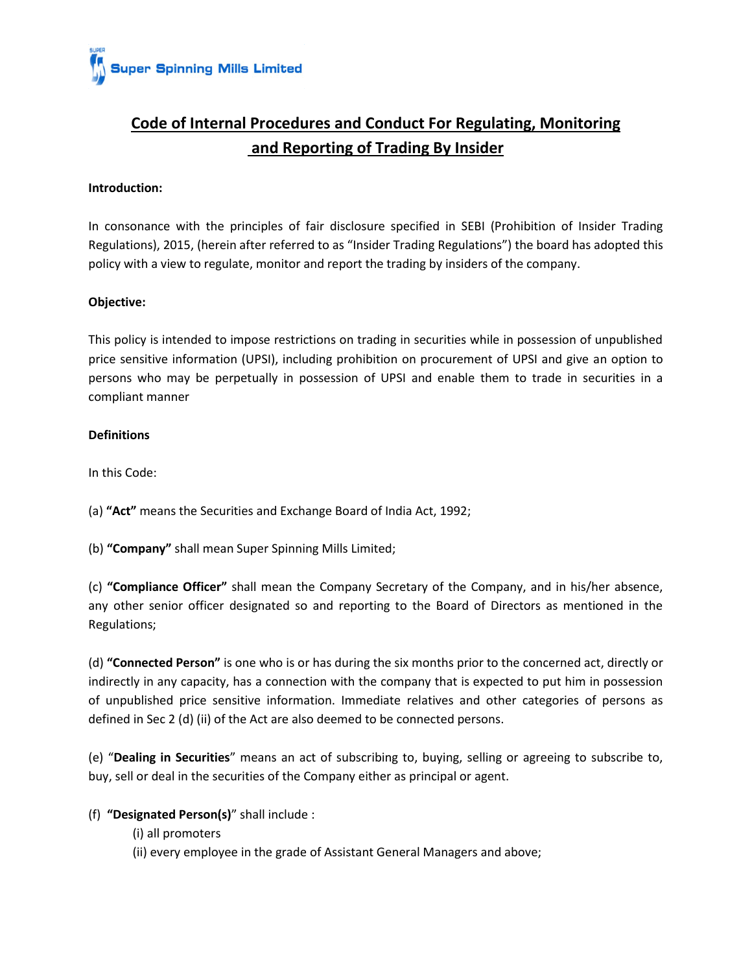

# **Code of Internal Procedures and Conduct For Regulating, Monitoring and Reporting of Trading By Insider**

## **Introduction:**

In consonance with the principles of fair disclosure specified in SEBI (Prohibition of Insider Trading Regulations), 2015, (herein after referred to as "Insider Trading Regulations") the board has adopted this policy with a view to regulate, monitor and report the trading by insiders of the company.

# **Objective:**

This policy is intended to impose restrictions on trading in securities while in possession of unpublished price sensitive information (UPSI), including prohibition on procurement of UPSI and give an option to persons who may be perpetually in possession of UPSI and enable them to trade in securities in a compliant manner

## **Definitions**

In this Code:

(a) **"Act"** means the Securities and Exchange Board of India Act, 1992;

(b) **"Company"** shall mean Super Spinning Mills Limited;

(c) **"Compliance Officer"** shall mean the Company Secretary of the Company, and in his/her absence, any other senior officer designated so and reporting to the Board of Directors as mentioned in the Regulations;

(d) **"Connected Person"** is one who is or has during the six months prior to the concerned act, directly or indirectly in any capacity, has a connection with the company that is expected to put him in possession of unpublished price sensitive information. Immediate relatives and other categories of persons as defined in Sec 2 (d) (ii) of the Act are also deemed to be connected persons.

(e) "**Dealing in Securities**" means an act of subscribing to, buying, selling or agreeing to subscribe to, buy, sell or deal in the securities of the Company either as principal or agent.

# (f) **"Designated Person(s)**" shall include :

- (i) all promoters
- (ii) every employee in the grade of Assistant General Managers and above;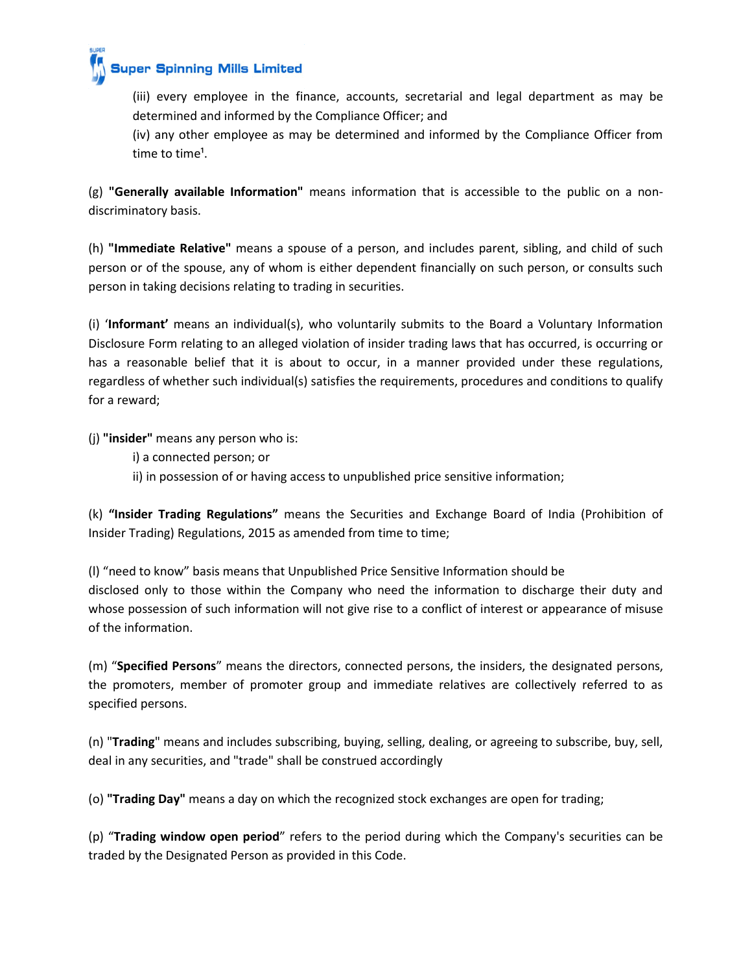

(iii) every employee in the finance, accounts, secretarial and legal department as may be determined and informed by the Compliance Officer; and

(iv) any other employee as may be determined and informed by the Compliance Officer from time to time<sup>1</sup>.

(g) **"Generally available Information"** means information that is accessible to the public on a non‐ discriminatory basis.

(h) **"Immediate Relative"** means a spouse of a person, and includes parent, sibling, and child of such person or of the spouse, any of whom is either dependent financially on such person, or consults such person in taking decisions relating to trading in securities.

(i) '**Informant'** means an individual(s), who voluntarily submits to the Board a Voluntary Information Disclosure Form relating to an alleged violation of insider trading laws that has occurred, is occurring or has a reasonable belief that it is about to occur, in a manner provided under these regulations, regardless of whether such individual(s) satisfies the requirements, procedures and conditions to qualify for a reward;

(j) **"insider"** means any person who is:

- i) a connected person; or
- ii) in possession of or having access to unpublished price sensitive information;

(k) **"Insider Trading Regulations"** means the Securities and Exchange Board of India (Prohibition of Insider Trading) Regulations, 2015 as amended from time to time;

(l) "need to know" basis means that Unpublished Price Sensitive Information should be disclosed only to those within the Company who need the information to discharge their duty and whose possession of such information will not give rise to a conflict of interest or appearance of misuse of the information.

(m) "**Specified Persons**" means the directors, connected persons, the insiders, the designated persons, the promoters, member of promoter group and immediate relatives are collectively referred to as specified persons.

(n) "**Trading**" means and includes subscribing, buying, selling, dealing, or agreeing to subscribe, buy, sell, deal in any securities, and "trade" shall be construed accordingly

(o) **"Trading Day"** means a day on which the recognized stock exchanges are open for trading;

(p) "**Trading window open period**" refers to the period during which the Company's securities can be traded by the Designated Person as provided in this Code.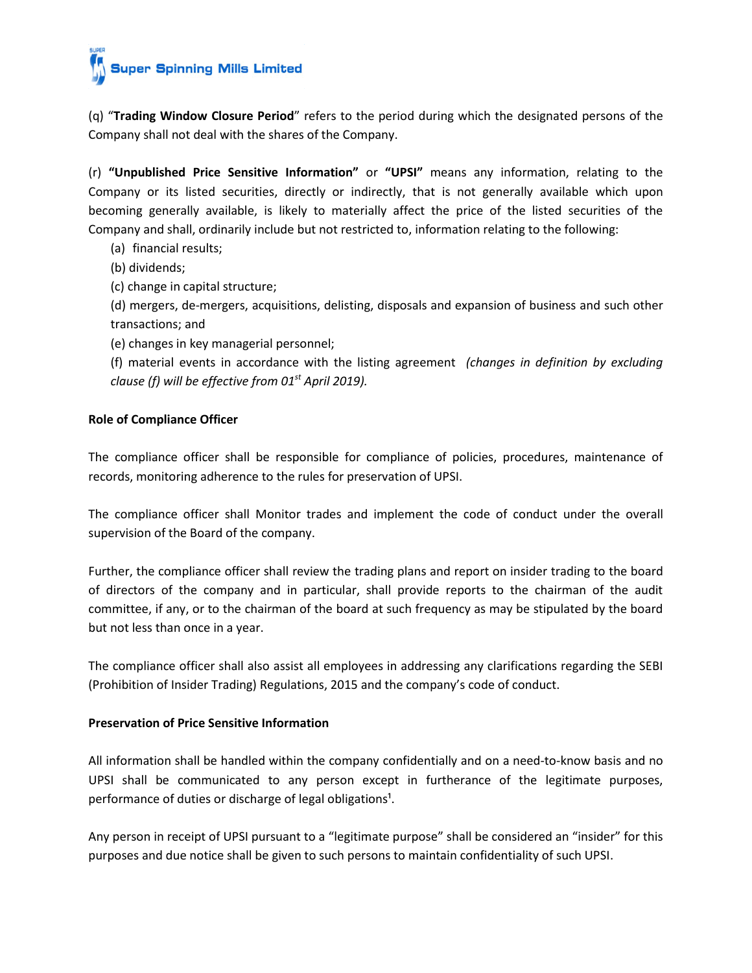(q) "**Trading Window Closure Period**" refers to the period during which the designated persons of the Company shall not deal with the shares of the Company.

(r) **"Unpublished Price Sensitive Information"** or **"UPSI"** means any information, relating to the Company or its listed securities, directly or indirectly, that is not generally available which upon becoming generally available, is likely to materially affect the price of the listed securities of the Company and shall, ordinarily include but not restricted to, information relating to the following:

(a) financial results;

(b) dividends;

(c) change in capital structure;

(d) mergers, de-mergers, acquisitions, delisting, disposals and expansion of business and such other transactions; and

(e) changes in key managerial personnel;

(f) material events in accordance with the listing agreement *(changes in definition by excluding clause (f) will be effective from 01st April 2019).*

# **Role of Compliance Officer**

The compliance officer shall be responsible for compliance of policies, procedures, maintenance of records, monitoring adherence to the rules for preservation of UPSI.

The compliance officer shall Monitor trades and implement the code of conduct under the overall supervision of the Board of the company.

Further, the compliance officer shall review the trading plans and report on insider trading to the board of directors of the company and in particular, shall provide reports to the chairman of the audit committee, if any, or to the chairman of the board at such frequency as may be stipulated by the board but not less than once in a year.

The compliance officer shall also assist all employees in addressing any clarifications regarding the SEBI (Prohibition of Insider Trading) Regulations, 2015 and the company's code of conduct.

# **Preservation of Price Sensitive Information**

All information shall be handled within the company confidentially and on a need-to-know basis and no UPSI shall be communicated to any person except in furtherance of the legitimate purposes, performance of duties or discharge of legal obligations<sup>1</sup>.

Any person in receipt of UPSI pursuant to a "legitimate purpose" shall be considered an "insider" for this purposes and due notice shall be given to such persons to maintain confidentiality of such UPSI.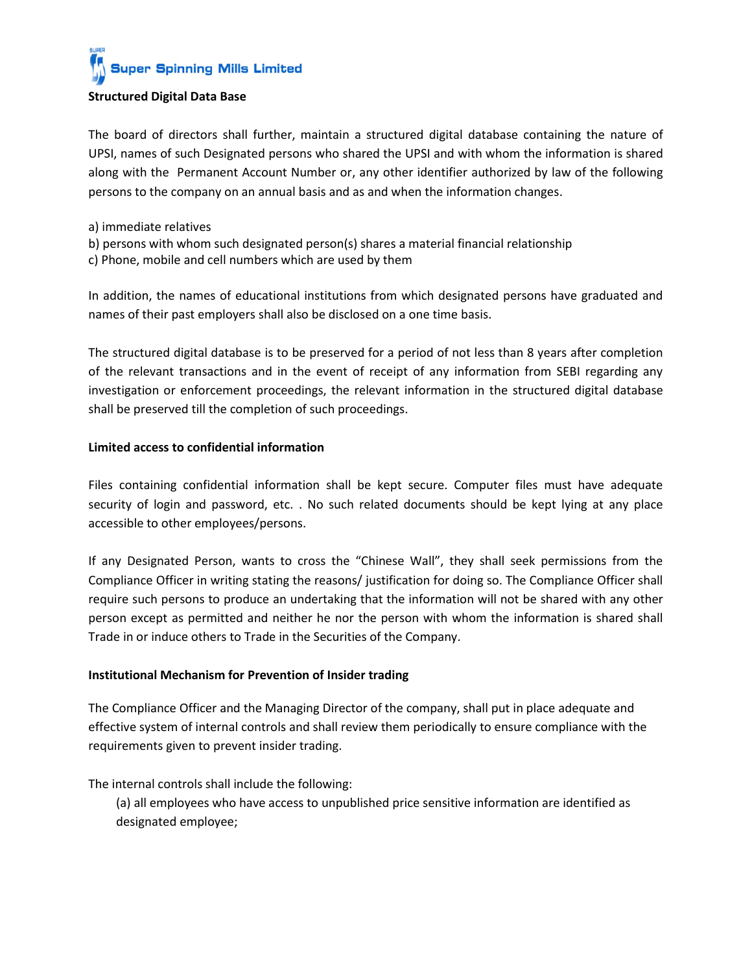The board of directors shall further, maintain a structured digital database containing the nature of UPSI, names of such Designated persons who shared the UPSI and with whom the information is shared along with the Permanent Account Number or, any other identifier authorized by law of the following persons to the company on an annual basis and as and when the information changes.

- a) immediate relatives
- b) persons with whom such designated person(s) shares a material financial relationship
- c) Phone, mobile and cell numbers which are used by them

In addition, the names of educational institutions from which designated persons have graduated and names of their past employers shall also be disclosed on a one time basis.

The structured digital database is to be preserved for a period of not less than 8 years after completion of the relevant transactions and in the event of receipt of any information from SEBI regarding any investigation or enforcement proceedings, the relevant information in the structured digital database shall be preserved till the completion of such proceedings.

## **Limited access to confidential information**

Files containing confidential information shall be kept secure. Computer files must have adequate security of login and password, etc. . No such related documents should be kept lying at any place accessible to other employees/persons.

If any Designated Person, wants to cross the "Chinese Wall", they shall seek permissions from the Compliance Officer in writing stating the reasons/ justification for doing so. The Compliance Officer shall require such persons to produce an undertaking that the information will not be shared with any other person except as permitted and neither he nor the person with whom the information is shared shall Trade in or induce others to Trade in the Securities of the Company.

### **Institutional Mechanism for Prevention of Insider trading**

The Compliance Officer and the Managing Director of the company, shall put in place adequate and effective system of internal controls and shall review them periodically to ensure compliance with the requirements given to prevent insider trading.

The internal controls shall include the following:

(a) all employees who have access to unpublished price sensitive information are identified as designated employee;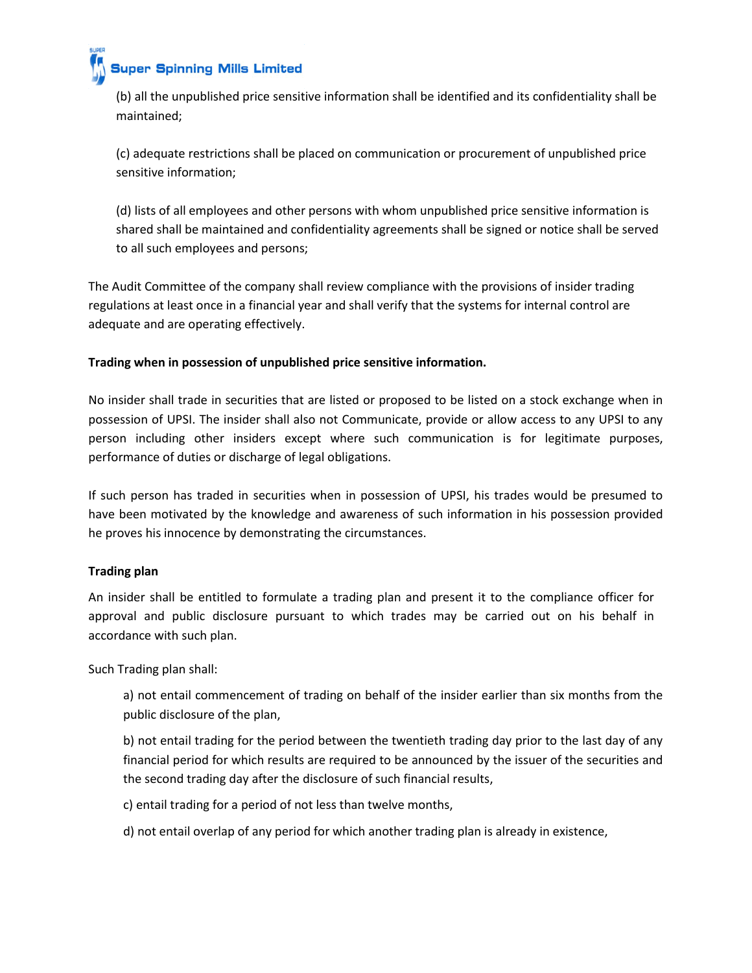

# **Super Spinning Mills Limited**

(b) all the unpublished price sensitive information shall be identified and its confidentiality shall be maintained;

(c) adequate restrictions shall be placed on communication or procurement of unpublished price sensitive information;

(d) lists of all employees and other persons with whom unpublished price sensitive information is shared shall be maintained and confidentiality agreements shall be signed or notice shall be served to all such employees and persons;

The Audit Committee of the company shall review compliance with the provisions of insider trading regulations at least once in a financial year and shall verify that the systems for internal control are adequate and are operating effectively.

# **Trading when in possession of unpublished price sensitive information.**

No insider shall trade in securities that are listed or proposed to be listed on a stock exchange when in possession of UPSI. The insider shall also not Communicate, provide or allow access to any UPSI to any person including other insiders except where such communication is for legitimate purposes, performance of duties or discharge of legal obligations.

If such person has traded in securities when in possession of UPSI, his trades would be presumed to have been motivated by the knowledge and awareness of such information in his possession provided he proves his innocence by demonstrating the circumstances.

# **Trading plan**

An insider shall be entitled to formulate a trading plan and present it to the compliance officer for approval and public disclosure pursuant to which trades may be carried out on his behalf in accordance with such plan.

Such Trading plan shall:

a) not entail commencement of trading on behalf of the insider earlier than six months from the public disclosure of the plan,

b) not entail trading for the period between the twentieth trading day prior to the last day of any financial period for which results are required to be announced by the issuer of the securities and the second trading day after the disclosure of such financial results,

c) entail trading for a period of not less than twelve months,

d) not entail overlap of any period for which another trading plan is already in existence,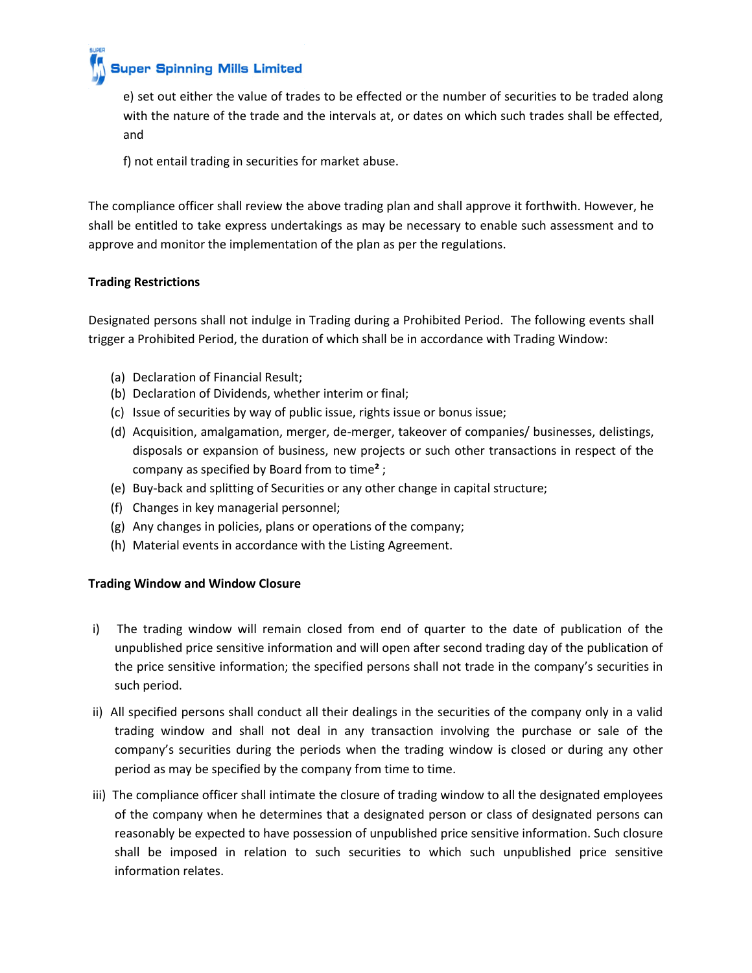**Super Spinning Mills Limited** 

e) set out either the value of trades to be effected or the number of securities to be traded along with the nature of the trade and the intervals at, or dates on which such trades shall be effected, and

f) not entail trading in securities for market abuse.

The compliance officer shall review the above trading plan and shall approve it forthwith. However, he shall be entitled to take express undertakings as may be necessary to enable such assessment and to approve and monitor the implementation of the plan as per the regulations.

# **Trading Restrictions**

Designated persons shall not indulge in Trading during a Prohibited Period. The following events shall trigger a Prohibited Period, the duration of which shall be in accordance with Trading Window:

- (a) Declaration of Financial Result;
- (b) Declaration of Dividends, whether interim or final;
- (c) Issue of securities by way of public issue, rights issue or bonus issue;
- (d) Acquisition, amalgamation, merger, de-merger, takeover of companies/ businesses, delistings, disposals or expansion of business, new projects or such other transactions in respect of the company as specified by Board from to time**²** ;
- (e) Buy-back and splitting of Securities or any other change in capital structure;
- (f) Changes in key managerial personnel;
- (g) Any changes in policies, plans or operations of the company;
- (h) Material events in accordance with the Listing Agreement.

# **Trading Window and Window Closure**

- i) The trading window will remain closed from end of quarter to the date of publication of the unpublished price sensitive information and will open after second trading day of the publication of the price sensitive information; the specified persons shall not trade in the company's securities in such period.
- ii) All specified persons shall conduct all their dealings in the securities of the company only in a valid trading window and shall not deal in any transaction involving the purchase or sale of the company's securities during the periods when the trading window is closed or during any other period as may be specified by the company from time to time.
- iii) The compliance officer shall intimate the closure of trading window to all the designated employees of the company when he determines that a designated person or class of designated persons can reasonably be expected to have possession of unpublished price sensitive information. Such closure shall be imposed in relation to such securities to which such unpublished price sensitive information relates.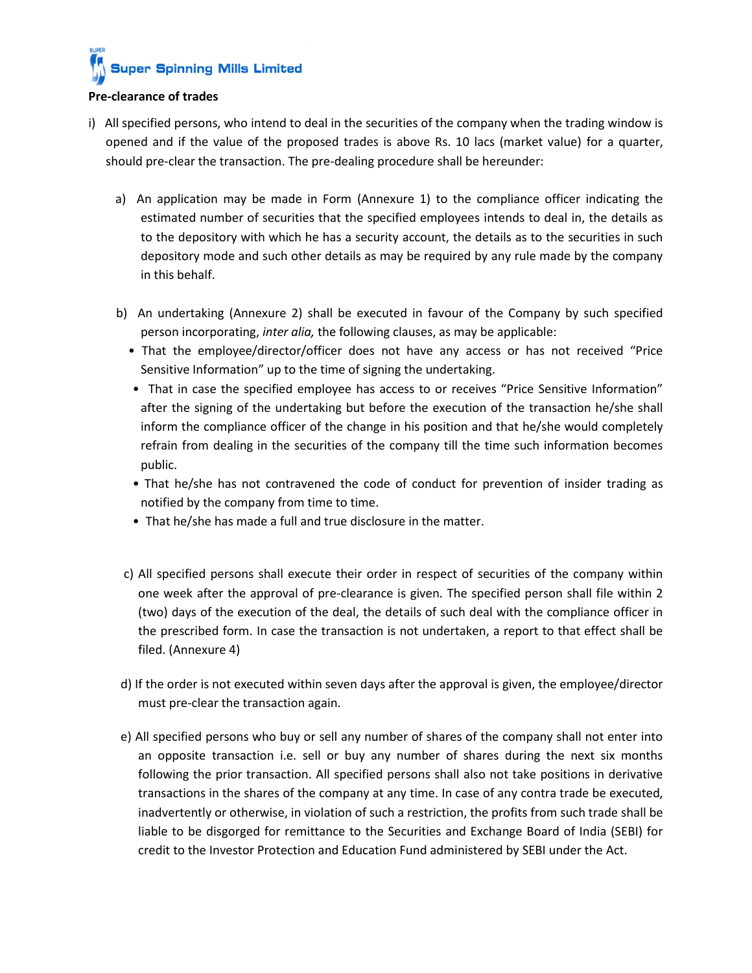### **Pre-clearance of trades**

- i) All specified persons, who intend to deal in the securities of the company when the trading window is opened and if the value of the proposed trades is above Rs. 10 lacs (market value) for a quarter, should pre-clear the transaction. The pre-dealing procedure shall be hereunder:
	- a) An application may be made in Form (Annexure 1) to the compliance officer indicating the estimated number of securities that the specified employees intends to deal in, the details as to the depository with which he has a security account, the details as to the securities in such depository mode and such other details as may be required by any rule made by the company in this behalf.
	- b) An undertaking (Annexure 2) shall be executed in favour of the Company by such specified person incorporating, *inter alia,* the following clauses, as may be applicable:
		- That the employee/director/officer does not have any access or has not received "Price Sensitive Information" up to the time of signing the undertaking.
		- That in case the specified employee has access to or receives "Price Sensitive Information" after the signing of the undertaking but before the execution of the transaction he/she shall inform the compliance officer of the change in his position and that he/she would completely refrain from dealing in the securities of the company till the time such information becomes public.
		- That he/she has not contravened the code of conduct for prevention of insider trading as notified by the company from time to time.
		- That he/she has made a full and true disclosure in the matter.
	- c) All specified persons shall execute their order in respect of securities of the company within one week after the approval of pre-clearance is given. The specified person shall file within 2 (two) days of the execution of the deal, the details of such deal with the compliance officer in the prescribed form. In case the transaction is not undertaken, a report to that effect shall be filed. (Annexure 4)
	- d) If the order is not executed within seven days after the approval is given, the employee/director must pre-clear the transaction again.
	- e) All specified persons who buy or sell any number of shares of the company shall not enter into an opposite transaction i.e. sell or buy any number of shares during the next six months following the prior transaction. All specified persons shall also not take positions in derivative transactions in the shares of the company at any time. In case of any contra trade be executed, inadvertently or otherwise, in violation of such a restriction, the profits from such trade shall be liable to be disgorged for remittance to the Securities and Exchange Board of India (SEBI) for credit to the Investor Protection and Education Fund administered by SEBI under the Act.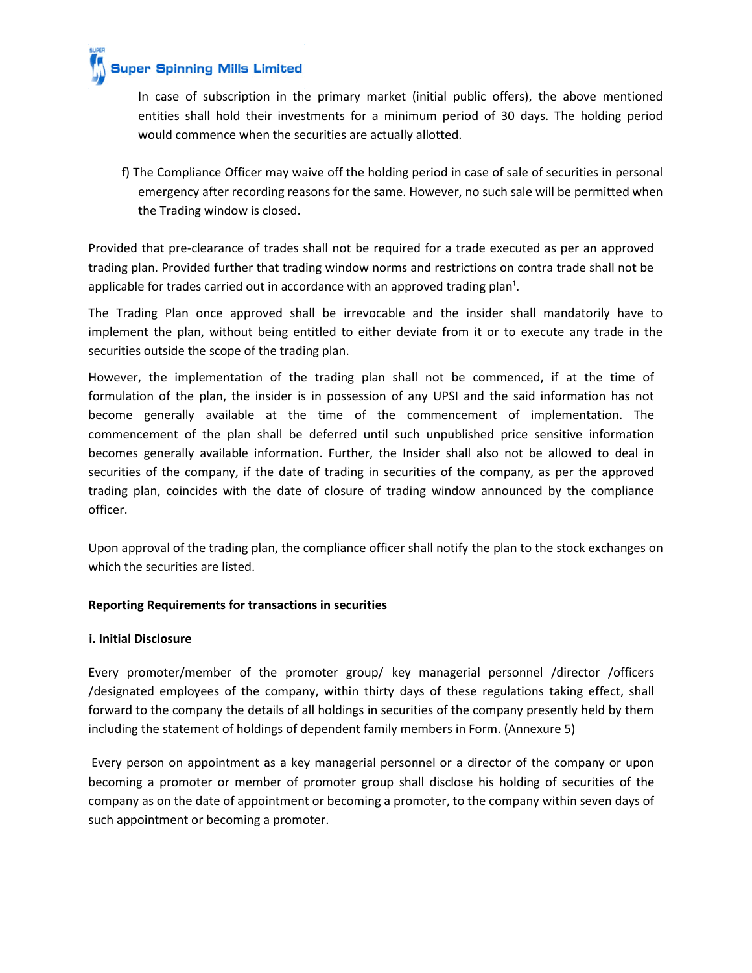

In case of subscription in the primary market (initial public offers), the above mentioned entities shall hold their investments for a minimum period of 30 days. The holding period would commence when the securities are actually allotted.

f) The Compliance Officer may waive off the holding period in case of sale of securities in personal emergency after recording reasons for the same. However, no such sale will be permitted when the Trading window is closed.

Provided that pre-clearance of trades shall not be required for a trade executed as per an approved trading plan. Provided further that trading window norms and restrictions on contra trade shall not be applicable for trades carried out in accordance with an approved trading plan<sup>1</sup>.

The Trading Plan once approved shall be irrevocable and the insider shall mandatorily have to implement the plan, without being entitled to either deviate from it or to execute any trade in the securities outside the scope of the trading plan.

However, the implementation of the trading plan shall not be commenced, if at the time of formulation of the plan, the insider is in possession of any UPSI and the said information has not become generally available at the time of the commencement of implementation. The commencement of the plan shall be deferred until such unpublished price sensitive information becomes generally available information. Further, the Insider shall also not be allowed to deal in securities of the company, if the date of trading in securities of the company, as per the approved trading plan, coincides with the date of closure of trading window announced by the compliance officer.

Upon approval of the trading plan, the compliance officer shall notify the plan to the stock exchanges on which the securities are listed.

# **Reporting Requirements for transactions in securities**

# **i. Initial Disclosure**

Every promoter/member of the promoter group/ key managerial personnel /director /officers /designated employees of the company, within thirty days of these regulations taking effect, shall forward to the company the details of all holdings in securities of the company presently held by them including the statement of holdings of dependent family members in Form. (Annexure 5)

Every person on appointment as a key managerial personnel or a director of the company or upon becoming a promoter or member of promoter group shall disclose his holding of securities of the company as on the date of appointment or becoming a promoter, to the company within seven days of such appointment or becoming a promoter.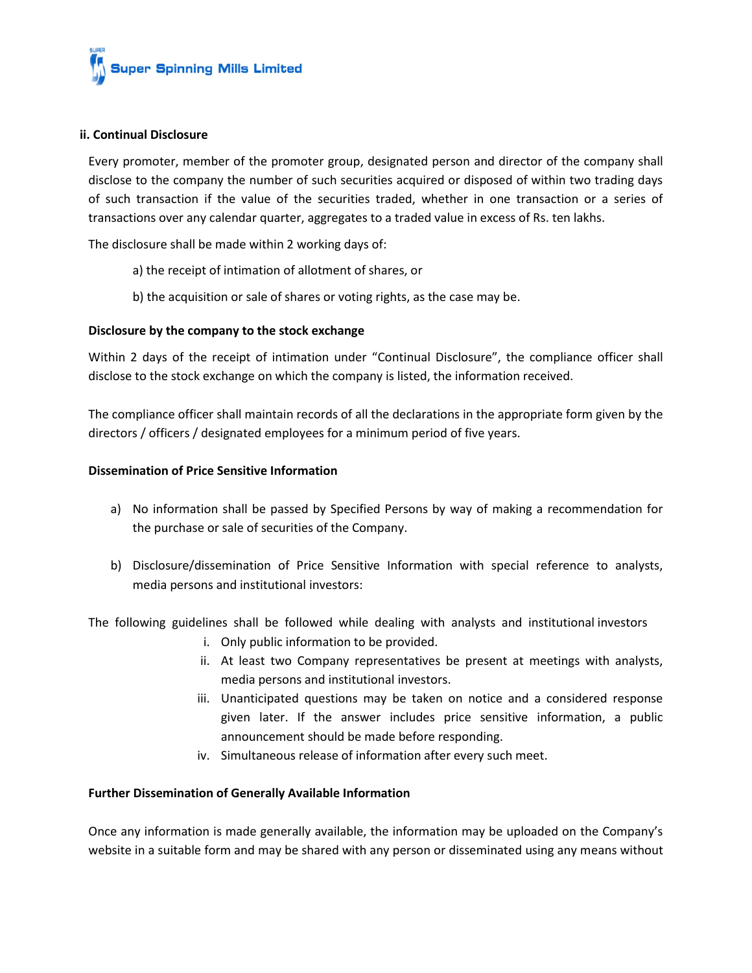

## **ii. Continual Disclosure**

Every promoter, member of the promoter group, designated person and director of the company shall disclose to the company the number of such securities acquired or disposed of within two trading days of such transaction if the value of the securities traded, whether in one transaction or a series of transactions over any calendar quarter, aggregates to a traded value in excess of Rs. ten lakhs.

The disclosure shall be made within 2 working days of:

- a) the receipt of intimation of allotment of shares, or
- b) the acquisition or sale of shares or voting rights, as the case may be.

## **Disclosure by the company to the stock exchange**

Within 2 days of the receipt of intimation under "Continual Disclosure", the compliance officer shall disclose to the stock exchange on which the company is listed, the information received.

The compliance officer shall maintain records of all the declarations in the appropriate form given by the directors / officers / designated employees for a minimum period of five years.

### **Dissemination of Price Sensitive Information**

- a) No information shall be passed by Specified Persons by way of making a recommendation for the purchase or sale of securities of the Company.
- b) Disclosure/dissemination of Price Sensitive Information with special reference to analysts, media persons and institutional investors:

The following guidelines shall be followed while dealing with analysts and institutional investors

- i. Only public information to be provided.
- ii. At least two Company representatives be present at meetings with analysts, media persons and institutional investors.
- iii. Unanticipated questions may be taken on notice and a considered response given later. If the answer includes price sensitive information, a public announcement should be made before responding.
- iv. Simultaneous release of information after every such meet.

### **Further Dissemination of Generally Available Information**

Once any information is made generally available, the information may be uploaded on the Company's website in a suitable form and may be shared with any person or disseminated using any means without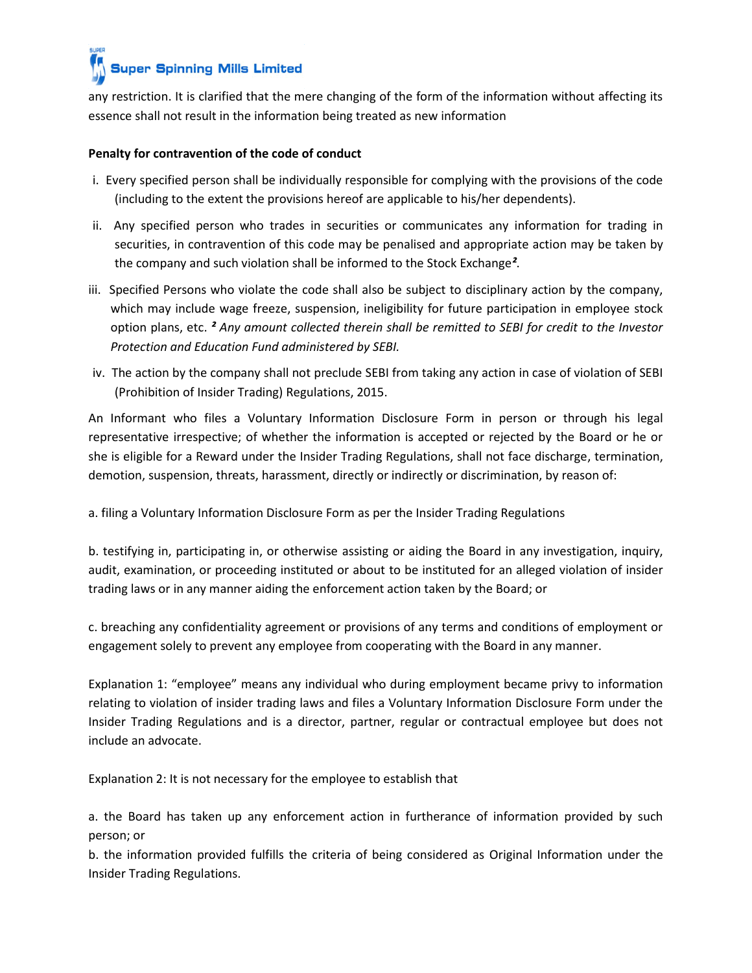any restriction. It is clarified that the mere changing of the form of the information without affecting its essence shall not result in the information being treated as new information

# **Penalty for contravention of the code of conduct**

- i. Every specified person shall be individually responsible for complying with the provisions of the code (including to the extent the provisions hereof are applicable to his/her dependents).
- ii. Any specified person who trades in securities or communicates any information for trading in securities, in contravention of this code may be penalised and appropriate action may be taken by the company and such violation shall be informed to the Stock Exchange*²*.
- iii. Specified Persons who violate the code shall also be subject to disciplinary action by the company, which may include wage freeze, suspension, ineligibility for future participation in employee stock option plans, etc. *² Any amount collected therein shall be remitted to SEBI for credit to the Investor Protection and Education Fund administered by SEBI.*
- iv. The action by the company shall not preclude SEBI from taking any action in case of violation of SEBI (Prohibition of Insider Trading) Regulations, 2015.

An Informant who files a Voluntary Information Disclosure Form in person or through his legal representative irrespective; of whether the information is accepted or rejected by the Board or he or she is eligible for a Reward under the Insider Trading Regulations, shall not face discharge, termination, demotion, suspension, threats, harassment, directly or indirectly or discrimination, by reason of:

a. filing a Voluntary Information Disclosure Form as per the Insider Trading Regulations

b. testifying in, participating in, or otherwise assisting or aiding the Board in any investigation, inquiry, audit, examination, or proceeding instituted or about to be instituted for an alleged violation of insider trading laws or in any manner aiding the enforcement action taken by the Board; or

c. breaching any confidentiality agreement or provisions of any terms and conditions of employment or engagement solely to prevent any employee from cooperating with the Board in any manner.

Explanation 1: "employee" means any individual who during employment became privy to information relating to violation of insider trading laws and files a Voluntary Information Disclosure Form under the Insider Trading Regulations and is a director, partner, regular or contractual employee but does not include an advocate.

Explanation 2: It is not necessary for the employee to establish that

a. the Board has taken up any enforcement action in furtherance of information provided by such person; or

b. the information provided fulfills the criteria of being considered as Original Information under the Insider Trading Regulations.